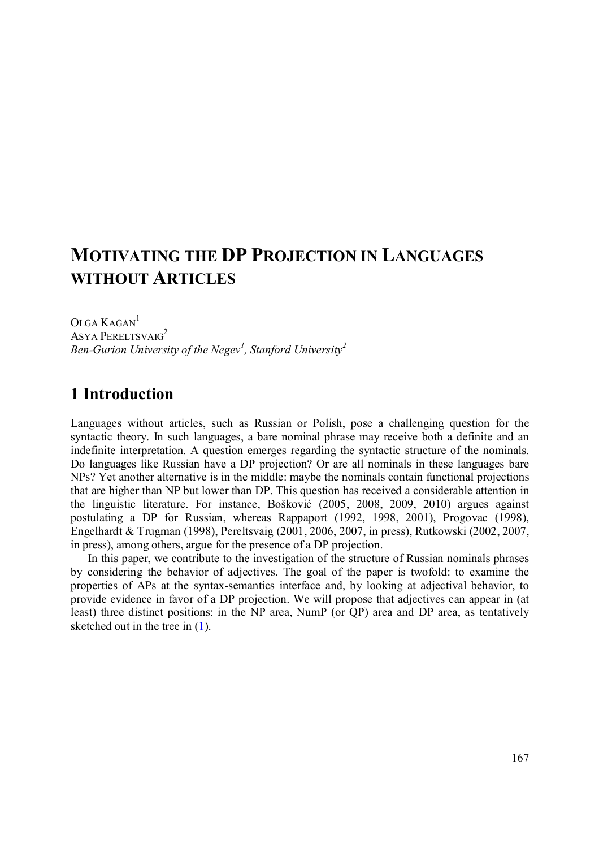# **MOTIVATING THE DP PROJECTION IN LANGUAGES WITHOUT ARTICLES**

OLGA KAGAN<sup>1</sup> ASYA PERELTSVAIG<sup>2</sup> *Ben-Gurion University of the Negev<sup>1</sup> , Stanford University<sup>2</sup>*

# **1 Introduction**

Languages without articles, such as Russian or Polish, pose a challenging question for the syntactic theory. In such languages, a bare nominal phrase may receive both a definite and an indefinite interpretation. A question emerges regarding the syntactic structure of the nominals. Do languages like Russian have a DP projection? Or are all nominals in these languages bare NPs? Yet another alternative is in the middle: maybe the nominals contain functional projections that are higher than NP but lower than DP. This question has received a considerable attention in the linguistic literature. For instance, Bošković (2005, 2008, 2009, 2010) argues against postulating a DP for Russian, whereas Rappaport (1992, 1998, 2001), Progovac (1998), Engelhardt & Trugman (1998), Pereltsvaig (2001, 2006, 2007, in press), Rutkowski (2002, 2007, in press), among others, argue for the presence of a DP projection.

In this paper, we contribute to the investigation of the structure of Russian nominals phrases by considering the behavior of adjectives. The goal of the paper is twofold: to examine the properties of APs at the syntax-semantics interface and, by looking at adjectival behavior, to provide evidence in favor of a DP projection. We will propose that adjectives can appear in (at least) three distinct positions: in the NP area, NumP (or QP) area and DP area, as tentatively sketched out in the tree in  $(1)$ .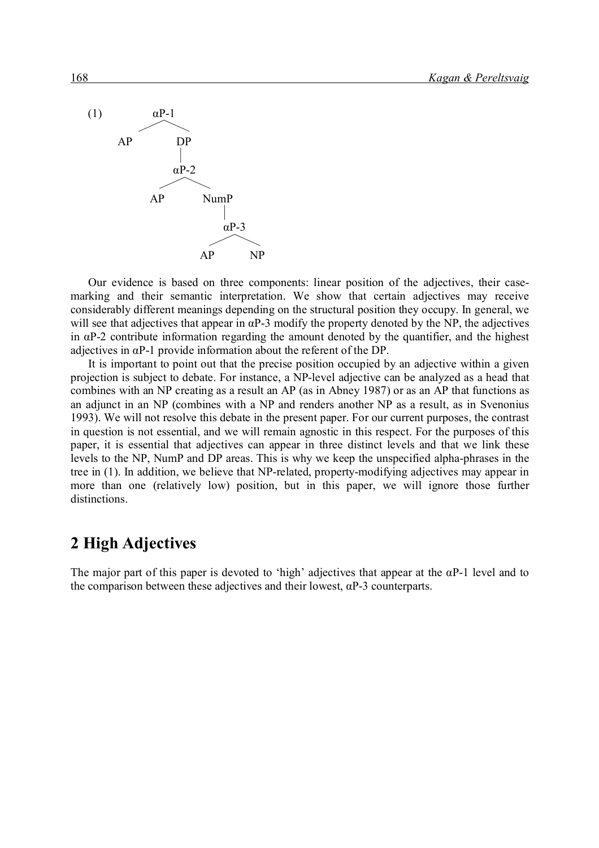

Our evidence is based on three components: linear position of the adjectives, their casemarking and their semantic interpretation. We show that certain adjectives may receive considerably different meanings depending on the structural position they occupy. In general, we will see that adjectives that appear in  $\alpha$ P-3 modify the property denoted by the NP, the adjectives in  $\alpha$ P-2 contribute information regarding the amount denoted by the quantifier, and the highest adjectives in  $\alpha$ P-1 provide information about the referent of the DP.

It is important to point out that the precise position occupied by an adjective within a given projection is subject to debate. For instance, a NP-level adjective can be analyzed as a head that combines with an NP creating as a result an AP (as in Abney 1987) or as an AP that functions as an adjunct in an NP (combines with a NP and renders another NP as a result, as in Svenonius 1993). We will not resolve this debate in the present paper. For our current purposes, the contrast in question is not essential, and we will remain agnostic in this respect. For the purposes of this paper, it is essential that adjectives can appear in three distinct levels and that we link these levels to the NP, NumP and DP areas. This is why we keep the unspecified alpha-phrases in the tree in (1). In addition, we believe that NP-related, property-modifying adjectives may appear in more than one (relatively low) position, but in this paper, we will ignore those further distinctions.

### **2 High Adjectives**

The major part of this paper is devoted to 'high' adjectives that appear at the  $\alpha P$ -1 level and to the comparison between these adjectives and their lowest,  $\alpha P$ -3 counterparts.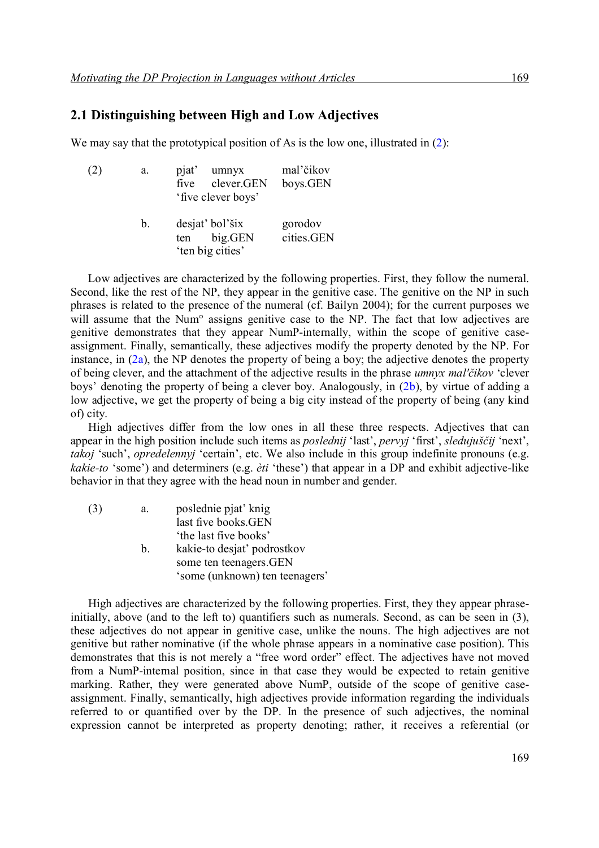#### **2.1 Distinguishing between High and Low Adjectives**

We may say that the prototypical position of As is the low one, illustrated in  $(2)$ :

| (2) | a.             | pjat'<br>umnyx<br>clever.GEN<br>five<br>'five clever boys' | mal'čikov<br>boys.GEN |
|-----|----------------|------------------------------------------------------------|-----------------------|
|     | $\mathbf{b}$ . | desjat' bol'šix<br>big.GEN<br>ten<br>'ten big cities'      | gorodov<br>cities.GEN |

Low adjectives are characterized by the following properties. First, they follow the numeral. Second, like the rest of the NP, they appear in the genitive case. The genitive on the NP in such phrases is related to the presence of the numeral (cf. Bailyn 2004); for the current purposes we will assume that the Num<sup>o</sup> assigns genitive case to the NP. The fact that low adjectives are genitive demonstrates that they appear NumP-internally, within the scope of genitive caseassignment. Finally, semantically, these adjectives modify the property denoted by the NP. For instance, in (2a), the NP denotes the property of being a boy; the adjective denotes the property of being clever, and the attachment of the adjective results in the phrase *umnyx mal'čikov* 'clever boys' denoting the property of being a clever boy. Analogously, in (2b), by virtue of adding a low adjective, we get the property of being a big city instead of the property of being (any kind of) city.

High adjectives differ from the low ones in all these three respects. Adjectives that can appear in the high position include such items as *poslednij* 'last', *pervyj* 'first', *sledujuščij* 'next', *takoj* 'such', *opredelennyj* 'certain', etc. We also include in this group indefinite pronouns (e.g. *kakie-to* 'some') and determiners (e.g. *èti* 'these') that appear in a DP and exhibit adjective-like behavior in that they agree with the head noun in number and gender.

| (3) | a.      | poslednie pjat' knig           |
|-----|---------|--------------------------------|
|     |         | last five books.GEN            |
|     |         | 'the last five books'          |
|     | $b_{-}$ | kakie-to desjat' podrostkov    |
|     |         | some ten teenagers. GEN        |
|     |         | 'some (unknown) ten teenagers' |

High adjectives are characterized by the following properties. First, they they appear phraseinitially, above (and to the left to) quantifiers such as numerals. Second, as can be seen in (3), these adjectives do not appear in genitive case, unlike the nouns. The high adjectives are not genitive but rather nominative (if the whole phrase appears in a nominative case position). This demonstrates that this is not merely a "free word order" effect. The adjectives have not moved from a NumP-internal position, since in that case they would be expected to retain genitive marking. Rather, they were generated above NumP, outside of the scope of genitive caseassignment. Finally, semantically, high adjectives provide information regarding the individuals referred to or quantified over by the DP. In the presence of such adjectives, the nominal expression cannot be interpreted as property denoting; rather, it receives a referential (or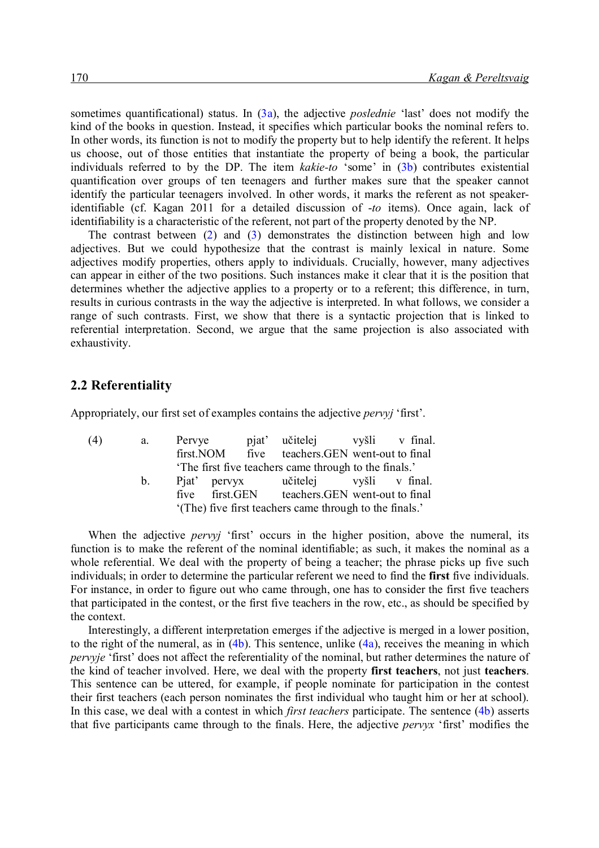sometimes quantificational) status. In (3a), the adjective *poslednie* 'last' does not modify the kind of the books in question. Instead, it specifies which particular books the nominal refers to. In other words, its function is not to modify the property but to help identify the referent. It helps us choose, out of those entities that instantiate the property of being a book, the particular individuals referred to by the DP. The item *kakie-to* 'some' in (3b) contributes existential quantification over groups of ten teenagers and further makes sure that the speaker cannot identify the particular teenagers involved. In other words, it marks the referent as not speakeridentifiable (cf. Kagan 2011 for a detailed discussion of -*to* items). Once again, lack of identifiability is a characteristic of the referent, not part of the property denoted by the NP.

The contrast between (2) and (3) demonstrates the distinction between high and low adjectives. But we could hypothesize that the contrast is mainly lexical in nature. Some adjectives modify properties, others apply to individuals. Crucially, however, many adjectives can appear in either of the two positions. Such instances make it clear that it is the position that determines whether the adjective applies to a property or to a referent; this difference, in turn, results in curious contrasts in the way the adjective is interpreted. In what follows, we consider a range of such contrasts. First, we show that there is a syntactic projection that is linked to referential interpretation. Second, we argue that the same projection is also associated with exhaustivity.

#### **2.2 Referentiality**

Appropriately, our first set of examples contains the adjective *pervyj* 'first'.

| (4) | a.      | Pervye |  | pjat' učitelej vyšli v final.                           |  |
|-----|---------|--------|--|---------------------------------------------------------|--|
|     |         |        |  | first. NOM five teachers. GEN went-out to final         |  |
|     |         |        |  | The first five teachers came through to the finals.'    |  |
|     | $b_{1}$ |        |  | Piat pervyx učitelej vyšli v final.                     |  |
|     |         |        |  | five first.GEN teachers.GEN went-out to final           |  |
|     |         |        |  | '(The) five first teachers came through to the finals.' |  |

When the adjective *pervyj* 'first' occurs in the higher position, above the numeral, its function is to make the referent of the nominal identifiable; as such, it makes the nominal as a whole referential. We deal with the property of being a teacher; the phrase picks up five such individuals; in order to determine the particular referent we need to find the **first** five individuals. For instance, in order to figure out who came through, one has to consider the first five teachers that participated in the contest, or the first five teachers in the row, etc., as should be specified by the context.

Interestingly, a different interpretation emerges if the adjective is merged in a lower position, to the right of the numeral, as in  $(4b)$ . This sentence, unlike  $(4a)$ , receives the meaning in which *pervyje* 'first' does not affect the referentiality of the nominal, but rather determines the nature of the kind of teacher involved. Here, we deal with the property **first teachers**, not just **teachers**. This sentence can be uttered, for example, if people nominate for participation in the contest their first teachers (each person nominates the first individual who taught him or her at school). In this case, we deal with a contest in which *first teachers* participate. The sentence (4b) asserts that five participants came through to the finals. Here, the adjective *pervyx* 'first' modifies the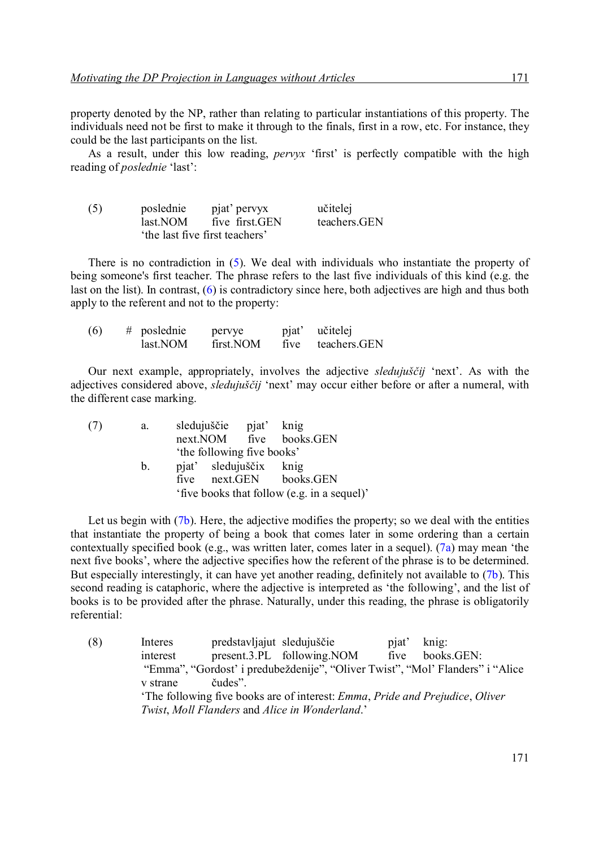property denoted by the NP, rather than relating to particular instantiations of this property. The individuals need not be first to make it through to the finals, first in a row, etc. For instance, they could be the last participants on the list.

As a result, under this low reading, *pervyx* 'first' is perfectly compatible with the high reading of *poslednie* 'last':

| (5) | poslednie | pjat' pervyx                  | učitelej     |
|-----|-----------|-------------------------------|--------------|
|     | last.NOM  | five first GEN                | teachers.GEN |
|     |           | the last five first teachers' |              |

There is no contradiction in (5). We deal with individuals who instantiate the property of being someone's first teacher. The phrase refers to the last five individuals of this kind (e.g. the last on the list). In contrast, (6) is contradictory since here, both adjectives are high and thus both apply to the referent and not to the property:

| (6) | $#$ poslednie | pervye    | pjat' | učitelej     |
|-----|---------------|-----------|-------|--------------|
|     | last.NOM      | first.NOM | five  | teachers.GEN |

Our next example, appropriately, involves the adjective *sledujuščij* 'next'. As with the adjectives considered above, *sledujuščij* 'next' may occur either before or after a numeral, with the different case marking.

| а.      |  |                                                                                                                                                                                     |
|---------|--|-------------------------------------------------------------------------------------------------------------------------------------------------------------------------------------|
|         |  |                                                                                                                                                                                     |
|         |  |                                                                                                                                                                                     |
| $b_{1}$ |  |                                                                                                                                                                                     |
|         |  |                                                                                                                                                                                     |
|         |  |                                                                                                                                                                                     |
|         |  | sledujuščie pjat' knig<br>next.NOM five books.GEN<br>'the following five books'<br>pjat' sledujuščix knig<br>five next.GEN books.GEN<br>'five books that follow (e.g. in a sequel)' |

Let us begin with  $(7b)$ . Here, the adjective modifies the property; so we deal with the entities that instantiate the property of being a book that comes later in some ordering than a certain contextually specified book (e.g., was written later, comes later in a sequel). (7a) may mean 'the next five books', where the adjective specifies how the referent of the phrase is to be determined. But especially interestingly, it can have yet another reading, definitely not available to (7b). This second reading is cataphoric, where the adjective is interpreted as 'the following', and the list of books is to be provided after the phrase. Naturally, under this reading, the phrase is obligatorily referential:

(8) Interes predstavljajut sledujuščie pjat' knig: interest present.3.PL following.NOM five books.GEN: "Emma", "Gordost' i predubeždenije", "Oliver Twist", "Mol' Flanders" i "Alice v strane čudes". 'The following five books are of interest: *Emma*, *Pride and Prejudice*, *Oliver Twist*, *Moll Flanders* and *Alice in Wonderland*.'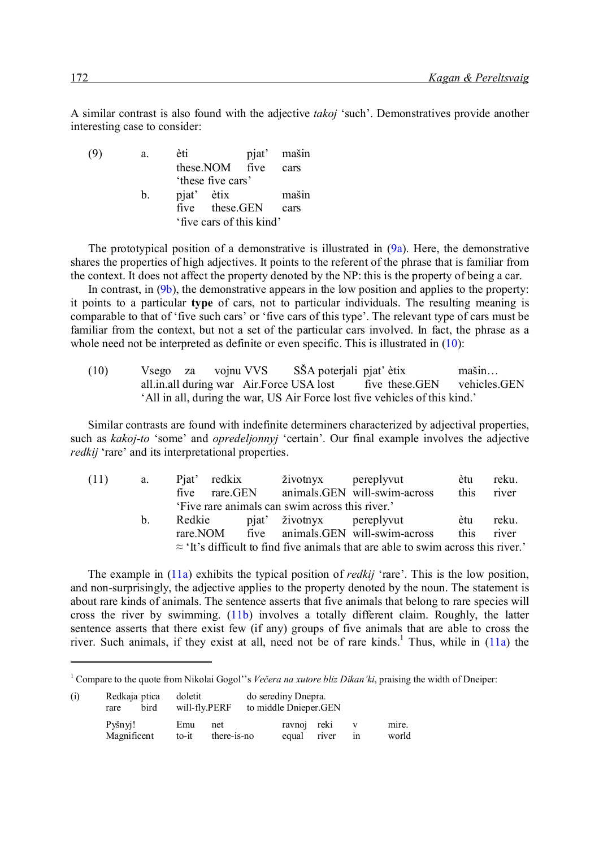A similar contrast is also found with the adjective *takoj* 'such'. Demonstratives provide another interesting case to consider:

| (9) | a.             | èti                      | pjat' mašin |
|-----|----------------|--------------------------|-------------|
|     |                | these.NOM five           | cars        |
|     |                | 'these five cars'        |             |
|     | $\mathbf{b}$ . | pjat' ètix               | mašin       |
|     |                | five these.GEN           | cars        |
|     |                | 'five cars of this kind' |             |
|     |                |                          |             |

The prototypical position of a demonstrative is illustrated in  $(9a)$ . Here, the demonstrative shares the properties of high adjectives. It points to the referent of the phrase that is familiar from the context. It does not affect the property denoted by the NP: this is the property of being a car.

In contrast, in  $(9b)$ , the demonstrative appears in the low position and applies to the property: it points to a particular **type** of cars, not to particular individuals. The resulting meaning is comparable to that of 'five such cars' or 'five cars of this type'. The relevant type of cars must be familiar from the context, but not a set of the particular cars involved. In fact, the phrase as a whole need not be interpreted as definite or even specific. This is illustrated in (10):

(10) Vsego za vojnu VVS SŠA poterjali pjat' ètix mašin… all.in.all during war Air.Force USA lost five these.GEN vehicles.GEN 'All in all, during the war, US Air Force lost five vehicles of this kind.'

Similar contrasts are found with indefinite determiners characterized by adjectival properties, such as *kakoj-to* 'some' and *opredeljonnyj* 'certain'. Our final example involves the adjective *redkij* 'rare' and its interpretational properties.

| (11) | a.      |          | Pjat' redkix | životnyx pereplyvut                             |                                                                                          | ètu        | reku. |
|------|---------|----------|--------------|-------------------------------------------------|------------------------------------------------------------------------------------------|------------|-------|
|      |         | five     | rare.GEN     |                                                 | animals. GEN will-swim-across                                                            | this       | river |
|      |         |          |              | 'Five rare animals can swim across this river.' |                                                                                          |            |       |
|      | $b_{-}$ | Redkie   |              | pjat' životnyx pereplyvut                       |                                                                                          | ètu        | reku. |
|      |         | rare.NOM |              |                                                 | five animals. GEN will-swim-across                                                       | this river |       |
|      |         |          |              |                                                 | $\approx$ 'It's difficult to find five animals that are able to swim across this river.' |            |       |

The example in (11a) exhibits the typical position of *redkij* 'rare'. This is the low position, and non-surprisingly, the adjective applies to the property denoted by the noun. The statement is about rare kinds of animals. The sentence asserts that five animals that belong to rare species will cross the river by swimming. (11b) involves a totally different claim. Roughly, the latter sentence asserts that there exist few (if any) groups of five animals that are able to cross the river. Such animals, if they exist at all, need not be of rare kinds.<sup>1</sup> Thus, while in  $(11a)$  the

<sup>&</sup>lt;sup>1</sup> Compare to the quote from Nikolai Gogol''s *Večera na xutore bliz Dikan'ki*, praising the width of Dneiper:

| (i) | Redkaja ptica<br>bird<br>rare | doletit<br>will-fly.PERF           | do serediny Dnepra.<br>to middle Dnieper.GEN |       |    |                |
|-----|-------------------------------|------------------------------------|----------------------------------------------|-------|----|----------------|
|     | Pyšnyi!<br>Magnificent        | Emu<br>net<br>there-is-no<br>to-it | ravnoj reki<br>equal                         | river | ın | mire.<br>world |

-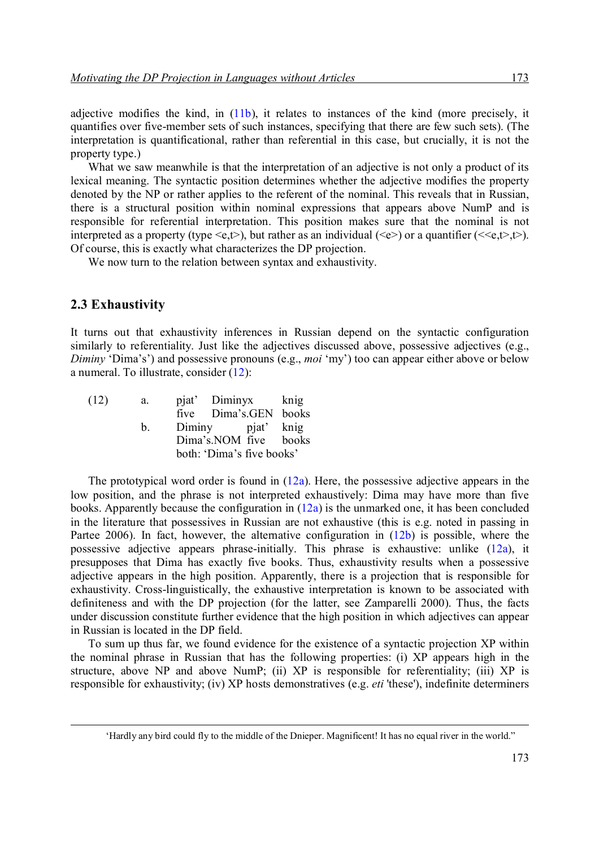adjective modifies the kind, in (11b), it relates to instances of the kind (more precisely, it quantifies over five-member sets of such instances, specifying that there are few such sets). (The interpretation is quantificational, rather than referential in this case, but crucially, it is not the property type.)

What we saw meanwhile is that the interpretation of an adjective is not only a product of its lexical meaning. The syntactic position determines whether the adjective modifies the property denoted by the NP or rather applies to the referent of the nominal. This reveals that in Russian, there is a structural position within nominal expressions that appears above NumP and is responsible for referential interpretation. This position makes sure that the nominal is not interpreted as a property (type  $\leq e, t$ ), but rather as an individual ( $\leq e$ ) or a quantifier ( $\leq \leq e, t$ ). Of course, this is exactly what characterizes the DP projection.

We now turn to the relation between syntax and exhaustivity.

#### **2.3 Exhaustivity**

-

It turns out that exhaustivity inferences in Russian depend on the syntactic configuration similarly to referentiality. Just like the adjectives discussed above, possessive adjectives (e.g., *Diminy* 'Dima's') and possessive pronouns (e.g., *moi* 'my') too can appear either above or below a numeral. To illustrate, consider  $(12)$ :

| (12) | a.             |                   | pjat' Diminyx knig        |  |
|------|----------------|-------------------|---------------------------|--|
|      |                |                   | five Dima's.GEN books     |  |
|      | $\mathbf{b}$ . | Diminy pjat' knig |                           |  |
|      |                |                   | Dima's.NOM five books     |  |
|      |                |                   | both: 'Dima's five books' |  |

The prototypical word order is found in  $(12a)$ . Here, the possessive adjective appears in the low position, and the phrase is not interpreted exhaustively: Dima may have more than five books. Apparently because the configuration in (12a) is the unmarked one, it has been concluded in the literature that possessives in Russian are not exhaustive (this is e.g. noted in passing in Partee 2006). In fact, however, the alternative configuration in  $(12b)$  is possible, where the possessive adjective appears phrase-initially. This phrase is exhaustive: unlike (12a), it presupposes that Dima has exactly five books. Thus, exhaustivity results when a possessive adjective appears in the high position. Apparently, there is a projection that is responsible for exhaustivity. Cross-linguistically, the exhaustive interpretation is known to be associated with definiteness and with the DP projection (for the latter, see Zamparelli 2000). Thus, the facts under discussion constitute further evidence that the high position in which adjectives can appear in Russian is located in the DP field.

To sum up thus far, we found evidence for the existence of a syntactic projection XP within the nominal phrase in Russian that has the following properties: (i) XP appears high in the structure, above NP and above NumP; (ii) XP is responsible for referentiality; (iii) XP is responsible for exhaustivity; (iv) XP hosts demonstratives (e.g. *eti* 'these'), indefinite determiners

<sup>&#</sup>x27;Hardly any bird could fly to the middle of the Dnieper. Magnificent! It has no equal river in the world."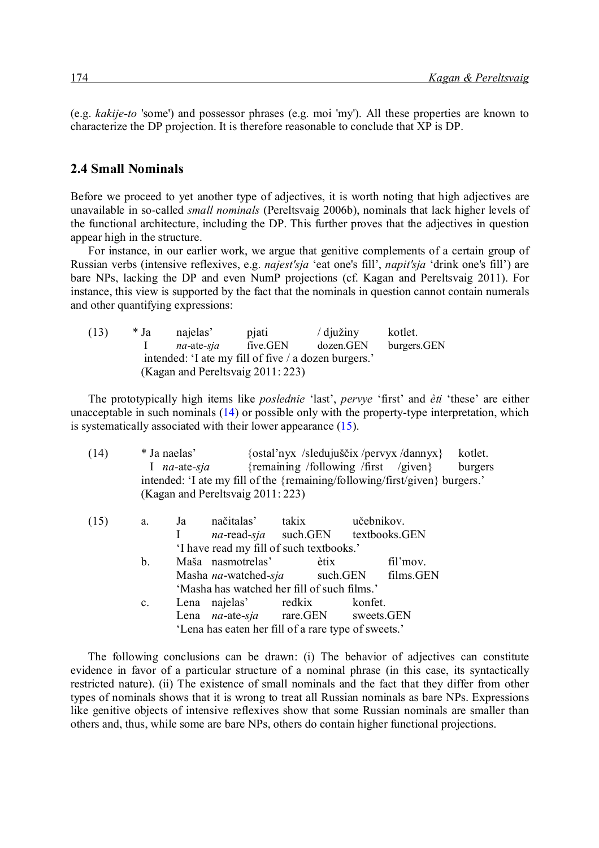(e.g. *kakije-to* 'some') and possessor phrases (e.g. moi 'my'). All these properties are known to characterize the DP projection. It is therefore reasonable to conclude that XP is DP.

#### **2.4 Small Nominals**

Before we proceed to yet another type of adjectives, it is worth noting that high adjectives are unavailable in so-called *small nominals* (Pereltsvaig 2006b), nominals that lack higher levels of the functional architecture, including the DP. This further proves that the adjectives in question appear high in the structure.

For instance, in our earlier work, we argue that genitive complements of a certain group of Russian verbs (intensive reflexives, e.g. *najest'sja* 'eat one's fill', *napit'sja* 'drink one's fill') are bare NPs, lacking the DP and even NumP projections (cf. Kagan and Pereltsvaig 2011). For instance, this view is supported by the fact that the nominals in question cannot contain numerals and other quantifying expressions:

| (13)                                                 | * Ja | najelas'                          | pjati    | $/$ djužiny | kotlet.     |  |  |  |  |
|------------------------------------------------------|------|-----------------------------------|----------|-------------|-------------|--|--|--|--|
|                                                      |      | na-ate-sia                        | five.GEN | dozen.GEN   | burgers.GEN |  |  |  |  |
| intended: 'I ate my fill of five / a dozen burgers.' |      |                                   |          |             |             |  |  |  |  |
|                                                      |      | (Kagan and Pereltsvaig 2011: 223) |          |             |             |  |  |  |  |

The prototypically high items like *poslednie* 'last', *pervye* 'first' and *èti* 'these' are either unacceptable in such nominals (14) or possible only with the property-type interpretation, which is systematically associated with their lower appearance (15).

| (14) |                | * Ja naelas'       | na-ate-sja<br>intended: 'I ate my fill of the {remaining/following/first/given} burgers.'<br>(Kagan and Pereltsvaig 2011: 223) |       |      |            | {ostal'nyx /sledujuščix/pervyx/dannyx}<br>{remaining /following /first /given} | kotlet.<br>burgers |  |
|------|----------------|--------------------|--------------------------------------------------------------------------------------------------------------------------------|-------|------|------------|--------------------------------------------------------------------------------|--------------------|--|
| (15) | a.             | Ja<br>$\mathbf{I}$ | načitalas'                                                                                                                     | takix |      | učebnikov. |                                                                                |                    |  |
|      |                |                    | na-read-sja such.GEN textbooks.GEN<br>'I have read my fill of such textbooks.'                                                 |       |      |            |                                                                                |                    |  |
|      | b.             |                    | Maša nasmotrelas'                                                                                                              |       | ètix |            | fil'mov.                                                                       |                    |  |
|      |                |                    | Masha na-watched-sja such.GEN                                                                                                  |       |      |            | films.GEN                                                                      |                    |  |
|      |                |                    | 'Masha has watched her fill of such films.'                                                                                    |       |      |            |                                                                                |                    |  |
|      | $\mathbf{c}$ . |                    | Lena najelas' redkix                                                                                                           |       |      | konfet.    |                                                                                |                    |  |
|      |                |                    | Lena na-ate-sja rare.GEN sweets.GEN                                                                                            |       |      |            |                                                                                |                    |  |
|      |                |                    | 'Lena has eaten her fill of a rare type of sweets.'                                                                            |       |      |            |                                                                                |                    |  |

The following conclusions can be drawn: (i) The behavior of adjectives can constitute evidence in favor of a particular structure of a nominal phrase (in this case, its syntactically restricted nature). (ii) The existence of small nominals and the fact that they differ from other types of nominals shows that it is wrong to treat all Russian nominals as bare NPs. Expressions like genitive objects of intensive reflexives show that some Russian nominals are smaller than others and, thus, while some are bare NPs, others do contain higher functional projections.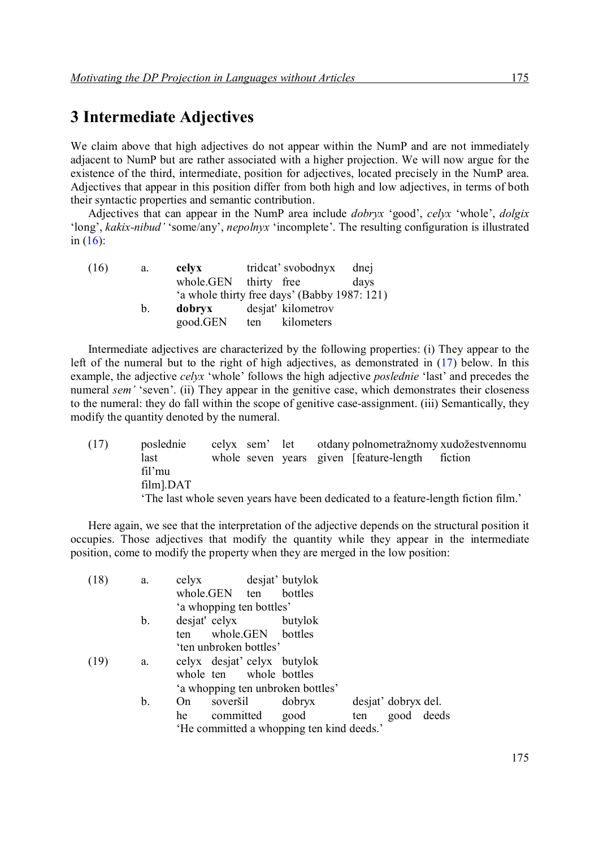### **3 Intermediate Adjectives**

We claim above that high adjectives do not appear within the NumP and are not immediately adjacent to NumP but are rather associated with a higher projection. We will now argue for the existence of the third, intermediate, position for adjectives, located precisely in the NumP area. Adjectives that appear in this position differ from both high and low adjectives, in terms of both their syntactic properties and semantic contribution.

Adjectives that can appear in the NumP area include *dobryx* 'good', *celyx* 'whole', *dolgix* 'long', *kakix-nibud'* 'some/any', *nepolnyx* 'incomplete'. The resulting configuration is illustrated in  $(16)$ :

| celyx    |     | dnej                                                                                                                            |
|----------|-----|---------------------------------------------------------------------------------------------------------------------------------|
|          |     | days                                                                                                                            |
|          |     |                                                                                                                                 |
| dobryx   |     |                                                                                                                                 |
| good.GEN | ten |                                                                                                                                 |
|          |     | trideat' svobodnyx<br>whole.GEN thirty free<br>'a whole thirty free days' (Babby 1987: 121)<br>desjat' kilometrov<br>kilometers |

Intermediate adjectives are characterized by the following properties: (i) They appear to the left of the numeral but to the right of high adjectives, as demonstrated in (17) below. In this example, the adjective *celyx* 'whole' follows the high adjective *poslednie* 'last' and precedes the numeral *sem'* 'seven'. (ii) They appear in the genitive case, which demonstrates their closeness to the numeral: they do fall within the scope of genitive case-assignment. (iii) Semantically, they modify the quantity denoted by the numeral.

(17) poslednie celyx sem' let otdany polnometražnomy xudožestvennomu last whole seven years given [feature-length fiction fil'mu film].DAT 'The last whole seven years have been dedicated to a feature-length fiction film.'

Here again, we see that the interpretation of the adjective depends on the structural position it occupies. Those adjectives that modify the quantity while they appear in the intermediate position, come to modify the property when they are merged in the low position:

| (18)                              | a. |     |                          |                   | celyx desjat' butylok                     |     |                     |  |
|-----------------------------------|----|-----|--------------------------|-------------------|-------------------------------------------|-----|---------------------|--|
|                                   |    |     | whole.GEN ten            |                   | bottles                                   |     |                     |  |
|                                   |    |     | 'a whopping ten bottles' |                   |                                           |     |                     |  |
|                                   | b. |     | desjat' celyx            |                   | butylok                                   |     |                     |  |
|                                   |    | ten |                          | whole.GEN bottles |                                           |     |                     |  |
|                                   |    |     | 'ten unbroken bottles'   |                   |                                           |     |                     |  |
| (19)                              | a. |     |                          |                   | celyx desjat' celyx butylok               |     |                     |  |
|                                   |    |     | whole ten whole bottles  |                   |                                           |     |                     |  |
| 'a whopping ten unbroken bottles' |    |     |                          |                   |                                           |     |                     |  |
|                                   | b. | On. | soveršil                 |                   | dobryx                                    |     | desjat' dobryx del. |  |
|                                   |    | he  | committed good           |                   |                                           | ten | good deeds          |  |
|                                   |    |     |                          |                   | 'He committed a whopping ten kind deeds.' |     |                     |  |
|                                   |    |     |                          |                   |                                           |     |                     |  |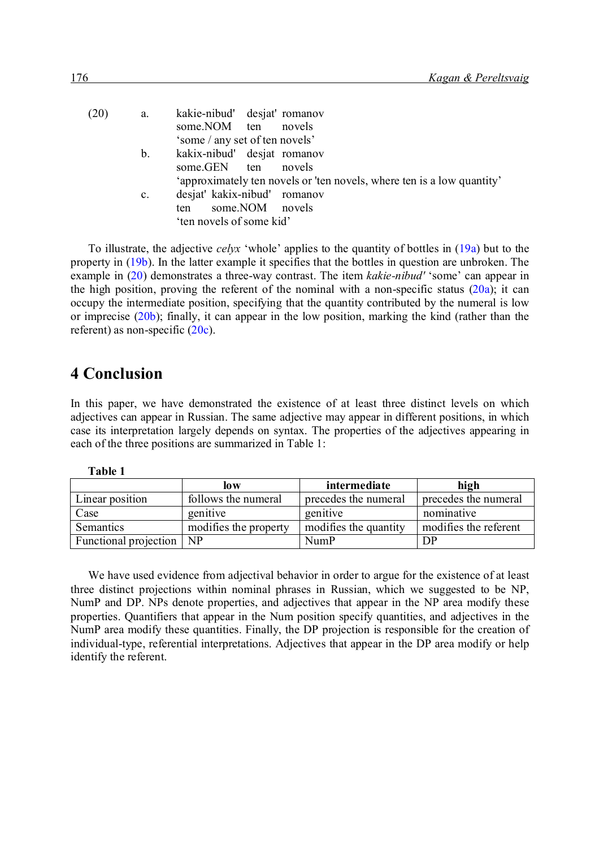| (20) | a.             | kakie-nibud' desjat' romanov                                           |
|------|----------------|------------------------------------------------------------------------|
|      |                | novels<br>some.NOM ten                                                 |
|      |                | 'some / any set of ten novels'                                         |
|      | $b_{\cdot}$    | kakix-nibud' desjat romanov                                            |
|      |                | some.GEN ten<br>novels                                                 |
|      |                | 'approximately ten novels or 'ten novels, where ten is a low quantity' |
|      | $\mathbf{c}$ . | desjat' kakix-nibud' romanov                                           |
|      |                | some.NOM novels<br>ten                                                 |
|      |                | 'ten novels of some kid'                                               |
|      |                |                                                                        |

To illustrate, the adjective *celyx* 'whole' applies to the quantity of bottles in (19a) but to the property in (19b). In the latter example it specifies that the bottles in question are unbroken. The example in (20) demonstrates a three-way contrast. The item *kakie-nibud'* 'some' can appear in the high position, proving the referent of the nominal with a non-specific status  $(20a)$ ; it can occupy the intermediate position, specifying that the quantity contributed by the numeral is low or imprecise (20b); finally, it can appear in the low position, marking the kind (rather than the referent) as non-specific (20c).

# **4 Conclusion**

In this paper, we have demonstrated the existence of at least three distinct levels on which adjectives can appear in Russian. The same adjective may appear in different positions, in which case its interpretation largely depends on syntax. The properties of the adjectives appearing in each of the three positions are summarized in Table 1:

| anı<br>Ιf |  |
|-----------|--|
|-----------|--|

|                       | low                   | intermediate          | high                  |
|-----------------------|-----------------------|-----------------------|-----------------------|
| Linear position       | follows the numeral   | precedes the numeral  | precedes the numeral  |
| Case                  | genitive              | genitive              | nominative            |
| Semantics             | modifies the property | modifies the quantity | modifies the referent |
| Functional projection | N <sub>P</sub>        | <b>NumP</b>           | DP                    |

We have used evidence from adjectival behavior in order to argue for the existence of at least three distinct projections within nominal phrases in Russian, which we suggested to be NP, NumP and DP. NPs denote properties, and adjectives that appear in the NP area modify these properties. Quantifiers that appear in the Num position specify quantities, and adjectives in the NumP area modify these quantities. Finally, the DP projection is responsible for the creation of individual-type, referential interpretations. Adjectives that appear in the DP area modify or help identify the referent.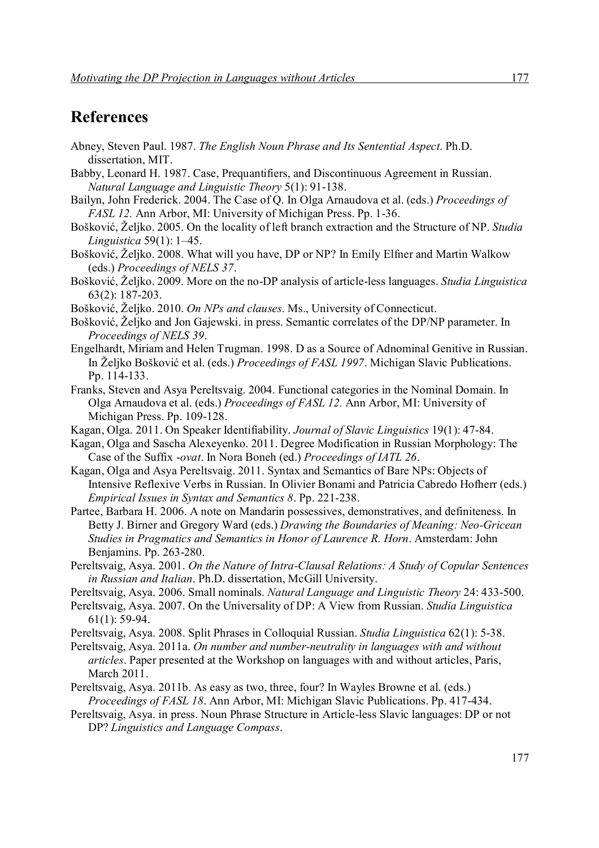### **References**

- Abney, Steven Paul. 1987. *The English Noun Phrase and Its Sentential Aspect*. Ph.D. dissertation, MIT.
- Babby, Leonard H. 1987. Case, Prequantifiers, and Discontinuous Agreement in Russian. *Natural Language and Linguistic Theory* 5(1): 91-138.
- Bailyn, John Frederick. 2004. The Case of Q. In Olga Arnaudova et al. (eds.) *Proceedings of FASL 12.* Ann Arbor, MI: University of Michigan Press. Pp. 1-36.
- Bošković, Željko. 2005. On the locality of left branch extraction and the Structure of NP. *Studia Linguistica* 59(1): 1–45.
- Bošković, Željko. 2008. What will you have, DP or NP? In Emily Elfner and Martin Walkow (eds.) *Proceedings of NELS 37*.
- Bošković, Željko. 2009. More on the no-DP analysis of article-less languages. *Studia Linguistica* 63(2): 187-203.
- Bošković, Željko. 2010. *On NPs and clauses*. Ms., University of Connecticut.
- Bošković, Željko and Jon Gajewski. in press. Semantic correlates of the DP/NP parameter. In *Proceedings of NELS 39*.
- Engelhardt, Miriam and Helen Trugman. 1998. D as a Source of Adnominal Genitive in Russian. In Željko Bošković et al. (eds.) *Proceedings of FASL 1997*. Michigan Slavic Publications. Pp. 114-133.
- Franks, Steven and Asya Pereltsvaig. 2004. Functional categories in the Nominal Domain. In Olga Arnaudova et al. (eds.) *Proceedings of FASL 12.* Ann Arbor, MI: University of Michigan Press. Pp. 109-128.
- Kagan, Olga. 2011. On Speaker Identifiability. *Journal of Slavic Linguistics* 19(1): 47-84.
- Kagan, Olga and Sascha Alexeyenko. 2011. Degree Modification in Russian Morphology: The Case of the Suffix -*ovat*. In Nora Boneh (ed.) *Proceedings of IATL 26*.
- Kagan, Olga and Asya Pereltsvaig. 2011. Syntax and Semantics of Bare NPs: Objects of Intensive Reflexive Verbs in Russian. In Olivier Bonami and Patricia Cabredo Hofherr (eds.) *Empirical Issues in Syntax and Semantics 8*. Pp. 221-238.
- Partee, Barbara H. 2006. A note on Mandarin possessives, demonstratives, and definiteness. In Betty J. Birner and Gregory Ward (eds.) *Drawing the Boundaries of Meaning: Neo-Gricean Studies in Pragmatics and Semantics in Honor of Laurence R. Horn*. Amsterdam: John Benjamins. Pp. 263-280.
- Pereltsvaig, Asya. 2001. *On the Nature of Intra-Clausal Relations: A Study of Copular Sentences in Russian and Italian*. Ph.D. dissertation, McGill University.
- Pereltsvaig, Asya. 2006. Small nominals. *Natural Language and Linguistic Theory* 24: 433-500.
- Pereltsvaig, Asya. 2007. On the Universality of DP: A View from Russian. *Studia Linguistica* 61(1): 59-94.

Pereltsvaig, Asya. 2008. Split Phrases in Colloquial Russian. *Studia Linguistica* 62(1): 5-38.

- Pereltsvaig, Asya. 2011a. *On number and number-neutrality in languages with and without articles*. Paper presented at the Workshop on languages with and without articles, Paris, March 2011.
- Pereltsvaig, Asya. 2011b. As easy as two, three, four? In Wayles Browne et al. (eds.) *Proceedings of FASL 18*. Ann Arbor, MI: Michigan Slavic Publications. Pp. 417-434.
- Pereltsvaig, Asya. in press. Noun Phrase Structure in Article-less Slavic languages: DP or not DP? *Linguistics and Language Compass*.